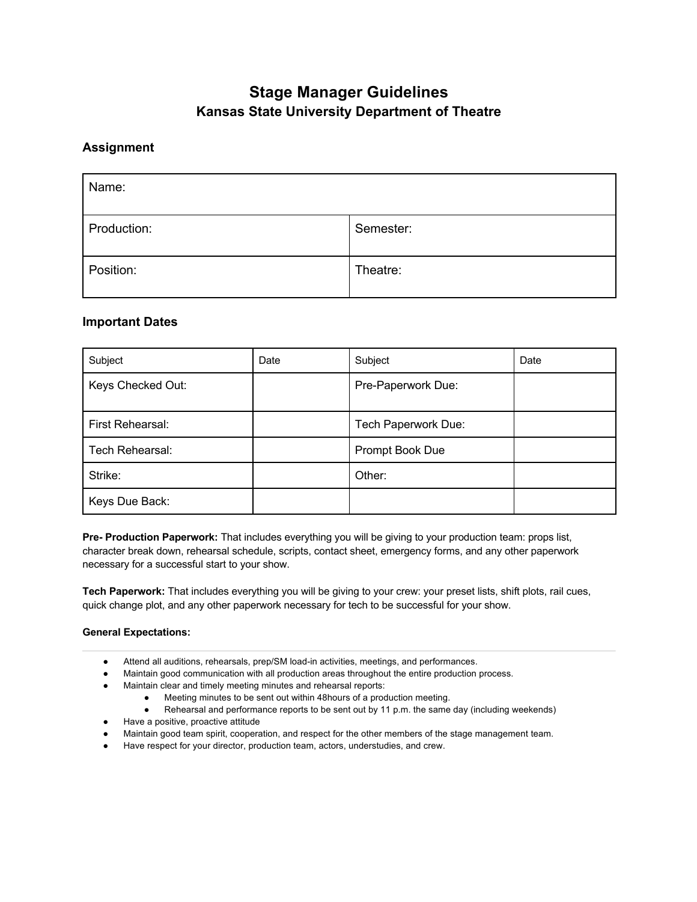# **Stage Manager Guidelines Kansas State University Department of Theatre**

# **Assignment**

| Name:       |           |
|-------------|-----------|
| Production: | Semester: |
| Position:   | Theatre:  |

# **Important Dates**

| Subject                 | Date | Subject             | Date |
|-------------------------|------|---------------------|------|
| Keys Checked Out:       |      | Pre-Paperwork Due:  |      |
| <b>First Rehearsal:</b> |      | Tech Paperwork Due: |      |
| Tech Rehearsal:         |      | Prompt Book Due     |      |
| Strike:                 |      | Other:              |      |
| Keys Due Back:          |      |                     |      |

**Pre- Production Paperwork:** That includes everything you will be giving to your production team: props list, character break down, rehearsal schedule, scripts, contact sheet, emergency forms, and any other paperwork necessary for a successful start to your show.

**Tech Paperwork:** That includes everything you will be giving to your crew: your preset lists, shift plots, rail cues, quick change plot, and any other paperwork necessary for tech to be successful for your show.

## **General Expectations:**

- Attend all auditions, rehearsals, prep/SM load-in activities, meetings, and performances.
- Maintain good communication with all production areas throughout the entire production process.
- Maintain clear and timely meeting minutes and rehearsal reports:
	- Meeting minutes to be sent out within 48hours of a production meeting.
	- Rehearsal and performance reports to be sent out by 11 p.m. the same day (including weekends)
- Have a positive, proactive attitude
- Maintain good team spirit, cooperation, and respect for the other members of the stage management team.
- Have respect for your director, production team, actors, understudies, and crew.